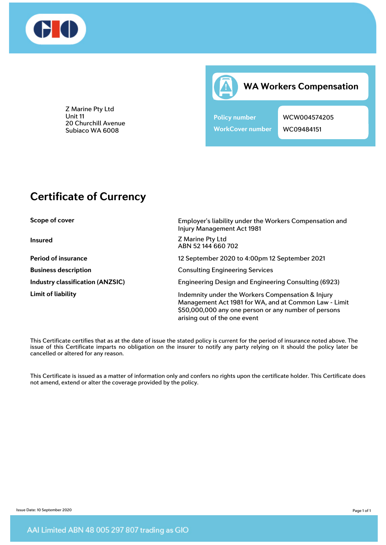

**WA Workers Compensation**

**Policy number WCW004574205 WorkCover number** WC09484151

Z Marine Pty Ltd Unit 11 20 Churchill Avenue Subiaco WA 6008

## **Certificate of Currency**

**Scope of cover Employer's liability under the Workers Compensation and** Injury Management Act 1981 **Insured** Z Marine Pty Ltd ABN 52 144 660 702 **Period of insurance** 12 September 2020 to 4:00pm 12 September 2021 **Business description Consulting Engineering Services Industry classification (ANZSIC)** Engineering Design and Engineering Consulting (6923) Limit of liability **Indemnity under the Workers Compensation & Injury** Indemnity under the Workers Compensation & Injury Management Act 1981 for WA, and at Common Law - Limit \$50,000,000 any one person or any number of persons arising out of the one event

This Certificate certifies that as at the date of issue the stated policy is current for the period of insurance noted above. The issue of this Certificate imparts no obligation on the insurer to notify any party relying on it should the policy later be cancelled or altered for any reason.

This Certificate is issued as a matter of information only and confers no rights upon the certificate holder. This Certificate does not amend, extend or alter the coverage provided by the policy.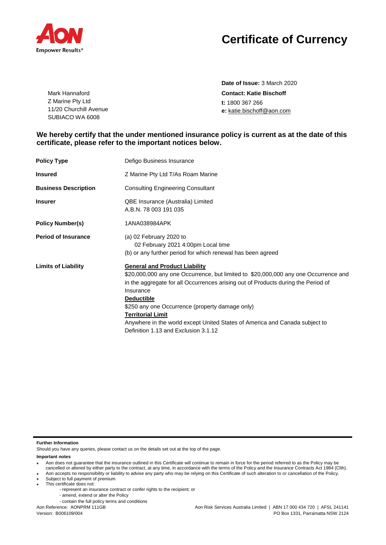

## **Certificate of Currency**

**Date of Issue:** 3 March 2020 **Contact: Katie Bischoff t:** 1800 367 266 **e:** [katie.bischoff@aon.com](mailto:katie.bischoff@aon.com)

## **We hereby certify that the under mentioned insurance policy is current as at the date of this certificate, please refer to the important notices below.**

| <b>Policy Type</b>          | Defigo Business Insurance                                                                                                                                                                                                                                                                                                                                                                                                                                |
|-----------------------------|----------------------------------------------------------------------------------------------------------------------------------------------------------------------------------------------------------------------------------------------------------------------------------------------------------------------------------------------------------------------------------------------------------------------------------------------------------|
| <b>Insured</b>              | Z Marine Pty Ltd T/As Roam Marine                                                                                                                                                                                                                                                                                                                                                                                                                        |
| <b>Business Description</b> | <b>Consulting Engineering Consultant</b>                                                                                                                                                                                                                                                                                                                                                                                                                 |
| <b>Insurer</b>              | QBE Insurance (Australia) Limited<br>A.B.N. 78 003 191 035                                                                                                                                                                                                                                                                                                                                                                                               |
| <b>Policy Number(s)</b>     | 1ANA038984APK                                                                                                                                                                                                                                                                                                                                                                                                                                            |
| <b>Period of Insurance</b>  | (a) 02 February 2020 to<br>02 February 2021 4:00pm Local time<br>(b) or any further period for which renewal has been agreed                                                                                                                                                                                                                                                                                                                             |
| <b>Limits of Liability</b>  | <b>General and Product Liability</b><br>\$20,000,000 any one Occurrence, but limited to \$20,000,000 any one Occurrence and<br>in the aggregate for all Occurrences arising out of Products during the Period of<br>Insurance<br><b>Deductible</b><br>\$250 any one Occurrence (property damage only)<br><b>Territorial Limit</b><br>Anywhere in the world except United States of America and Canada subject to<br>Definition 1.13 and Exclusion 3.1.12 |

**Further Information**

Should you have any queries, please contact us on the details set out at the top of the page.

**Important notes**

cancelled or altered by either party to the contract, at any time, in accordance with the terms of the Policy and the Insurance Contracts Act 1984 (Clth).

• This certificate does not:

- amend, extend or alter the Policy
	- contain the full policy terms and conditions

Aon Reference: AONPRM 111GB

<sup>•</sup> Aon does not guarantee that the insurance outlined in this Certificate will continue to remain in force for the period referred to as the Policy may be

<sup>•</sup> Aon accepts no responsibility or liability to advise any party who may be relying on this Certificate of such alteration to or cancellation of the Policy. Subject to full payment of premium

<sup>-</sup> represent an insurance contract or confer rights to the recipient; or